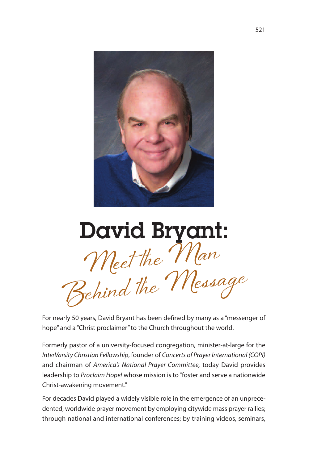

**Meet the Man Behind the Message David Bryant:**

For nearly 50 years, David Bryant has been defined by many as a "messenger of hope" and a "Christ proclaimer" to the Church throughout the world.

Formerly pastor of a university-focused congregation, minister-at-large for the InterVarsity Christian Fellowship, founder of Concerts of Prayer International (COPI) and chairman of America's National Prayer Committee, today David provides leadership to *Proclaim Hope!* whose mission is to "foster and serve a nationwide Christ-awakening movement."

For decades David played a widely visible role in the emergence of an unprecedented, worldwide prayer movement by employing citywide mass prayer rallies; through national and international conferences; by training videos, seminars,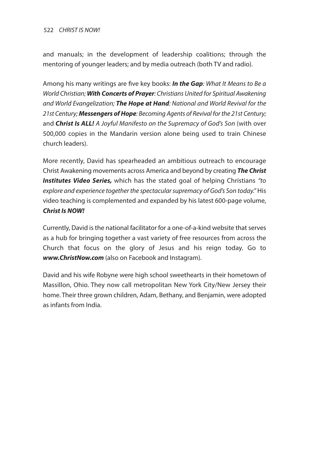and manuals; in the development of leadership coalitions; through the mentoring of younger leaders; and by media outreach (both TV and radio).

Among his many writings are five key books: *In the Gap*: What It Means to Be a World Christian; *With Concerts of Prayer*: Christians United for Spiritual Awakening and World Evangelization; *The Hope at Hand*: National and World Revival for the 21st Century; *Messengers ofHope*: Becoming Agents of Revival for the 21st Century; and *Christ Is ALL!* A Joyful Manifesto on the Supremacy of God's Son (with over 500,000 copies in the Mandarin version alone being used to train Chinese church leaders).

More recently, David has spearheaded an ambitious outreach to encourage Christ Awakening movements across America and beyond by creating *The Christ Institutes Video Series,* which has the stated goal of helping Christians "to explore and experience together the spectacular supremacy of God's Son today." His video teaching is complemented and expanded by his latest 600-page volume, *Christ Is NOW!*

Currently, David is the national facilitator for a one-of-a-kind website that serves as a hub for bringing together a vast variety of free resources from across the Church that focus on the glory of Jesus and his reign today. Go to *www.ChristNow.com* (also on Facebook and Instagram).

David and his wife Robyne were high school sweethearts in their hometown of Massillon, Ohio. They now call metropolitan New York City/New Jersey their home. Their three grown children, Adam, Bethany, and Benjamin, were adopted as infants from India.